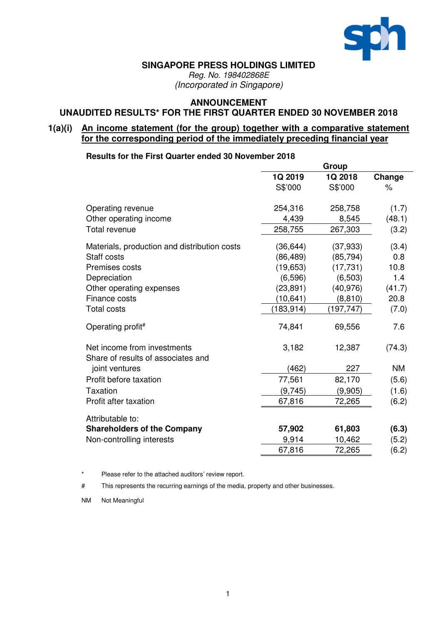

#### **SINGAPORE PRESS HOLDINGS LIMITED**

*Reg. No. 198402868E (Incorporated in Singapore)*

### **ANNOUNCEMENT**

#### **UNAUDITED RESULTS\* FOR THE FIRST QUARTER ENDED 30 NOVEMBER 2018**

### **1(a)(i) An income statement (for the group) together with a comparative statement for the corresponding period of the immediately preceding financial year**

#### **Results for the First Quarter ended 30 November 2018**

|                                              | Group      |            |           |  |
|----------------------------------------------|------------|------------|-----------|--|
|                                              | 1Q 2019    | 1Q 2018    | Change    |  |
|                                              | S\$'000    | S\$'000    | $\%$      |  |
| Operating revenue                            | 254,316    | 258,758    | (1.7)     |  |
| Other operating income                       | 4,439      | 8,545      | (48.1)    |  |
| <b>Total revenue</b>                         | 258,755    | 267,303    | (3.2)     |  |
| Materials, production and distribution costs | (36, 644)  | (37, 933)  | (3.4)     |  |
| Staff costs                                  | (86, 489)  | (85, 794)  | 0.8       |  |
| Premises costs                               | (19, 653)  | (17, 731)  | 10.8      |  |
| Depreciation                                 | (6, 596)   | (6, 503)   | 1.4       |  |
| Other operating expenses                     | (23, 891)  | (40, 976)  | (41.7)    |  |
| Finance costs                                | (10,641)   | (8, 810)   | 20.8      |  |
| <b>Total costs</b>                           | (183, 914) | (197, 747) | (7.0)     |  |
| Operating profit#                            | 74,841     | 69,556     | 7.6       |  |
| Net income from investments                  | 3,182      | 12,387     | (74.3)    |  |
| Share of results of associates and           |            |            |           |  |
| joint ventures                               | (462)      | 227        | <b>NM</b> |  |
| Profit before taxation                       | 77,561     | 82,170     | (5.6)     |  |
| Taxation                                     | (9,745)    | (9,905)    | (1.6)     |  |
| Profit after taxation                        | 67,816     | 72,265     | (6.2)     |  |
| Attributable to:                             |            |            |           |  |
| <b>Shareholders of the Company</b>           | 57,902     | 61,803     | (6.3)     |  |
| Non-controlling interests                    | 9,914      | 10,462     | (5.2)     |  |
|                                              | 67,816     | 72,265     | (6.2)     |  |
|                                              |            |            |           |  |

\* Please refer to the attached auditors' review report.

# This represents the recurring earnings of the media, property and other businesses.

NM Not Meaningful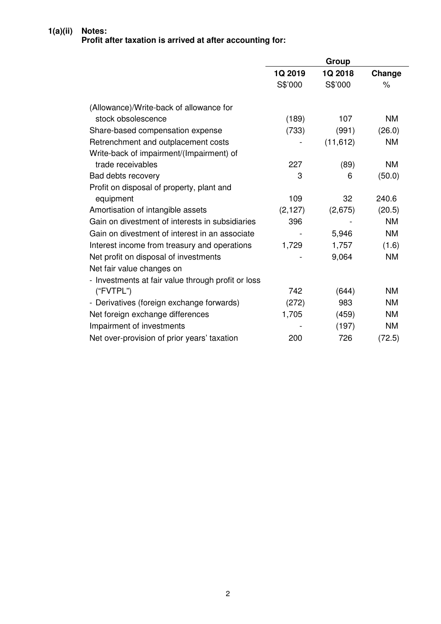# **1(a)(ii) Notes: Profit after taxation is arrived at after accounting for:**

|                                                    |          | Group     |           |
|----------------------------------------------------|----------|-----------|-----------|
|                                                    | 1Q 2019  | 1Q 2018   | Change    |
|                                                    | S\$'000  | S\$'000   | $\%$      |
|                                                    |          |           |           |
| (Allowance)/Write-back of allowance for            |          |           |           |
| stock obsolescence                                 | (189)    | 107       | <b>NM</b> |
| Share-based compensation expense                   | (733)    | (991)     | (26.0)    |
| Retrenchment and outplacement costs                |          | (11, 612) | <b>NM</b> |
| Write-back of impairment/(Impairment) of           |          |           |           |
| trade receivables                                  | 227      | (89)      | <b>NM</b> |
| Bad debts recovery                                 | 3        | 6         | (50.0)    |
| Profit on disposal of property, plant and          |          |           |           |
| equipment                                          | 109      | 32        | 240.6     |
| Amortisation of intangible assets                  | (2, 127) | (2,675)   | (20.5)    |
| Gain on divestment of interests in subsidiaries    | 396      |           | <b>NM</b> |
| Gain on divestment of interest in an associate     |          | 5,946     | <b>NM</b> |
| Interest income from treasury and operations       | 1,729    | 1,757     | (1.6)     |
| Net profit on disposal of investments              |          | 9,064     | <b>NM</b> |
| Net fair value changes on                          |          |           |           |
| - Investments at fair value through profit or loss |          |           |           |
| ("FVTPL")                                          | 742      | (644)     | <b>NM</b> |
| - Derivatives (foreign exchange forwards)          | (272)    | 983       | <b>NM</b> |
| Net foreign exchange differences                   | 1,705    | (459)     | <b>NM</b> |
| Impairment of investments                          |          | (197)     | <b>NM</b> |
| Net over-provision of prior years' taxation        | 200      | 726       | (72.5)    |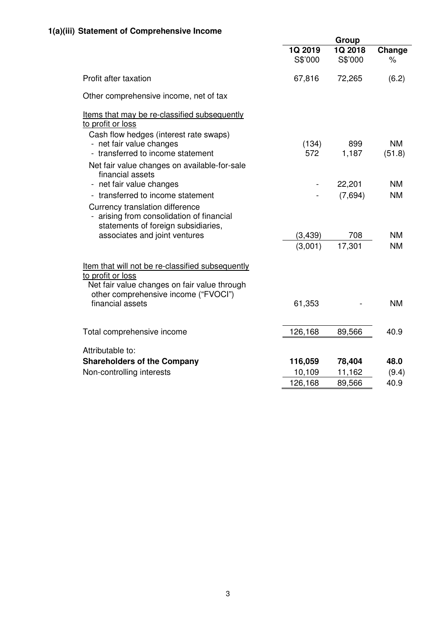|                                                                                                                       |                    | Group              |                     |
|-----------------------------------------------------------------------------------------------------------------------|--------------------|--------------------|---------------------|
|                                                                                                                       | 1Q 2019<br>S\$'000 | 1Q 2018<br>S\$'000 | Change<br>$\%$      |
| Profit after taxation                                                                                                 | 67,816             | 72,265             | (6.2)               |
| Other comprehensive income, net of tax                                                                                |                    |                    |                     |
| Items that may be re-classified subsequently<br>to profit or loss<br>Cash flow hedges (interest rate swaps)           |                    |                    |                     |
| - net fair value changes<br>- transferred to income statement                                                         | (134)<br>572       | 899<br>1,187       | <b>NM</b><br>(51.8) |
| Net fair value changes on available-for-sale<br>financial assets                                                      |                    |                    |                     |
| - net fair value changes                                                                                              | $\blacksquare$     | 22,201             | <b>NM</b>           |
| - transferred to income statement<br>Currency translation difference<br>arising from consolidation of financial       |                    | (7,694)            | <b>NM</b>           |
| statements of foreign subsidiaries,                                                                                   |                    |                    |                     |
| associates and joint ventures                                                                                         | (3, 439)           | 708                | <b>NM</b>           |
|                                                                                                                       | (3,001)            | 17,301             | <b>NM</b>           |
| Item that will not be re-classified subsequently<br>to profit or loss<br>Net fair value changes on fair value through |                    |                    |                     |
| other comprehensive income ("FVOCI")<br>financial assets                                                              | 61,353             |                    | <b>NM</b>           |
| Total comprehensive income                                                                                            | 126,168            | 89,566             | 40.9                |
| Attributable to:                                                                                                      |                    |                    |                     |
| <b>Shareholders of the Company</b>                                                                                    | 116,059            | 78,404             | 48.0                |
| Non-controlling interests                                                                                             | 10,109             | 11,162             | (9.4)               |
|                                                                                                                       | 126,168            | 89,566             | 40.9                |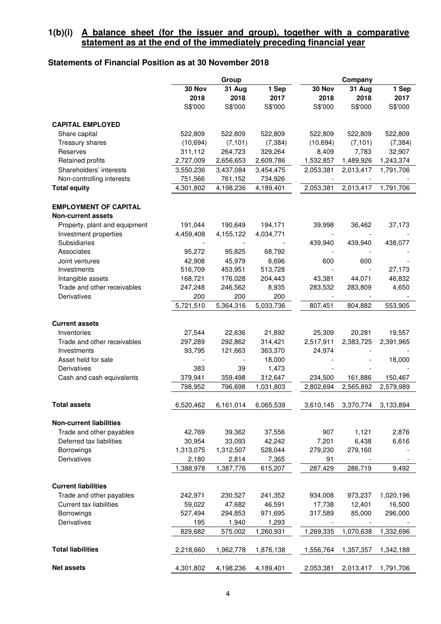### **1(b)(i) A balance sheet (for the issuer and group), together with a comparative statement as at the end of the immediately preceding financial year**

# **Statements of Financial Position as at 30 November 2018**

|                                |           | Group     |           | Company   |           |           |  |
|--------------------------------|-----------|-----------|-----------|-----------|-----------|-----------|--|
|                                | 30 Nov    | 31 Aug    | 1 Sep     | 30 Nov    | 31 Aug    | 1 Sep     |  |
|                                | 2018      | 2018      | 2017      | 2018      | 2018      | 2017      |  |
|                                | S\$'000   | S\$'000   | S\$'000   | S\$'000   | S\$'000   | S\$'000   |  |
|                                |           |           |           |           |           |           |  |
| <b>CAPITAL EMPLOYED</b>        |           |           |           |           |           |           |  |
| Share capital                  | 522,809   | 522,809   | 522,809   | 522,809   | 522,809   | 522,809   |  |
| Treasury shares                | (10, 694) | (7, 101)  | (7, 384)  | (10, 694) | (7, 101)  | (7, 384)  |  |
| Reserves                       | 311,112   | 264,723   | 329,264   | 8,409     | 7,783     | 32,907    |  |
| Retained profits               | 2,727,009 | 2,656,653 | 2,609,786 | 1,532,857 | 1,489,926 | 1,243,374 |  |
| Shareholders' interests        | 3,550,236 | 3,437,084 | 3,454,475 | 2,053,381 | 2,013,417 | 1,791,706 |  |
| Non-controlling interests      | 751,566   | 761,152   | 734,926   |           |           |           |  |
| <b>Total equity</b>            | 4,301,802 | 4,198,236 | 4,189,401 | 2,053,381 | 2,013,417 | 1,791,706 |  |
|                                |           |           |           |           |           |           |  |
| <b>EMPLOYMENT OF CAPITAL</b>   |           |           |           |           |           |           |  |
| <b>Non-current assets</b>      |           |           |           |           |           |           |  |
| Property, plant and equipment  | 191,044   | 190,649   | 194,171   | 39,998    | 36,462    | 37,173    |  |
| Investment properties          | 4,459,408 | 4,155,122 | 4,034,771 |           |           |           |  |
| Subsidiaries                   |           |           |           | 439,940   | 439,940   | 438,077   |  |
| Associates                     | 95,272    | 95,825    | 68,792    |           |           |           |  |
| Joint ventures                 | 42,908    | 45,979    | 8,696     | 600       | 600       |           |  |
| Investments                    | 516,709   | 453,951   | 513,728   |           |           | 27,173    |  |
| Intangible assets              | 168,721   | 176,028   | 204,443   | 43,381    | 44,071    | 46,832    |  |
| Trade and other receivables    | 247,248   | 246,562   | 8,935     | 283,532   | 283,809   | 4,650     |  |
| Derivatives                    | 200       | 200       | 200       |           |           |           |  |
|                                | 5,721,510 | 5,364,316 | 5,033,736 | 807,451   | 804,882   | 553,905   |  |
|                                |           |           |           |           |           |           |  |
| <b>Current assets</b>          |           |           |           |           |           |           |  |
| Inventories                    | 27,544    | 22,636    | 21,892    | 25,309    | 20,281    | 19,557    |  |
| Trade and other receivables    | 297,289   | 292,862   | 314,421   | 2,517,911 | 2,383,725 | 2,391,965 |  |
| Investments                    | 93,795    | 121,663   | 363,370   | 24,974    |           |           |  |
| Asset held for sale            |           |           | 18,000    |           |           | 18,000    |  |
| Derivatives                    | 383       | 39        | 1,473     |           |           |           |  |
| Cash and cash equivalents      | 379,941   | 359,498   | 312,647   | 234,500   | 161,886   | 150,467   |  |
|                                | 798,952   | 796,698   | 1,031,803 | 2,802,694 | 2,565,892 | 2,579,989 |  |
|                                |           |           |           |           |           |           |  |
| <b>Total assets</b>            | 6,520,462 | 6,161,014 | 6,065,539 | 3,610,145 | 3,370,774 | 3,133,894 |  |
|                                |           |           |           |           |           |           |  |
| <b>Non-current liabilities</b> |           |           |           |           |           |           |  |
| Trade and other payables       | 42,769    | 39,362    | 37,556    | 907       | 1,121     | 2,876     |  |
| Deferred tax liabilities       | 30,954    | 33,093    | 42,242    | 7,201     | 6,438     | 6,616     |  |
| Borrowings                     | 1,313,075 | 1,312,507 | 528,044   | 279,230   | 279,160   |           |  |
| Derivatives                    | 2,180     | 2,814     | 7,365     | 91        |           |           |  |
|                                | 1,388,978 | 1,387,776 | 615,207   | 287,429   | 286,719   | 9,492     |  |
|                                |           |           |           |           |           |           |  |
| <b>Current liabilities</b>     |           |           |           |           |           |           |  |
| Trade and other payables       | 242,971   | 230,527   | 241,352   | 934,008   | 973,237   | 1,020,196 |  |
| Current tax liabilities        | 59,022    | 47,682    | 46,591    | 17,738    | 12,401    | 16,500    |  |
| Borrowings                     | 527,494   | 294,853   | 971,695   | 317,589   | 85,000    | 296,000   |  |
| Derivatives                    | 195       | 1,940     | 1,293     |           |           |           |  |
|                                | 829,682   | 575,002   | 1,260,931 | 1,269,335 | 1,070,638 | 1,332,696 |  |
|                                |           |           |           |           |           |           |  |
| <b>Total liabilities</b>       | 2,218,660 | 1,962,778 | 1,876,138 | 1,556,764 | 1,357,357 | 1,342,188 |  |
|                                |           |           |           |           |           |           |  |
| <b>Net assets</b>              | 4,301,802 | 4,198,236 | 4,189,401 | 2,053,381 | 2,013,417 | 1,791,706 |  |
|                                |           |           |           |           |           |           |  |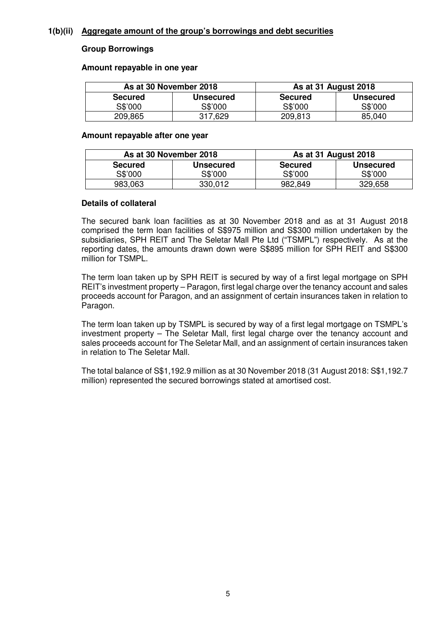#### **1(b)(ii) Aggregate amount of the group's borrowings and debt securities**

#### **Group Borrowings**

#### **Amount repayable in one year**

|                | As at 30 November 2018 | As at 31 August 2018 |                  |  |  |  |
|----------------|------------------------|----------------------|------------------|--|--|--|
| <b>Secured</b> | <b>Unsecured</b>       | <b>Secured</b>       | <b>Unsecured</b> |  |  |  |
| S\$'000        | S\$'000                | S\$'000              | S\$'000          |  |  |  |
| 209,865        | 317,629                | 209,813              | 85,040           |  |  |  |

#### **Amount repayable after one year**

| As at 30 November 2018 |                  | As at 31 August 2018 |                  |  |  |
|------------------------|------------------|----------------------|------------------|--|--|
| <b>Secured</b>         | <b>Unsecured</b> | <b>Secured</b>       | <b>Unsecured</b> |  |  |
| S\$'000                | S\$'000          | S\$'000              | S\$'000          |  |  |
| 983,063                | 330,012          | 982,849              | 329,658          |  |  |

#### **Details of collateral**

The secured bank loan facilities as at 30 November 2018 and as at 31 August 2018 comprised the term loan facilities of S\$975 million and S\$300 million undertaken by the subsidiaries, SPH REIT and The Seletar Mall Pte Ltd ("TSMPL") respectively. As at the reporting dates, the amounts drawn down were S\$895 million for SPH REIT and S\$300 million for TSMPL.

The term loan taken up by SPH REIT is secured by way of a first legal mortgage on SPH REIT's investment property – Paragon, first legal charge over the tenancy account and sales proceeds account for Paragon, and an assignment of certain insurances taken in relation to Paragon.

The term loan taken up by TSMPL is secured by way of a first legal mortgage on TSMPL's investment property – The Seletar Mall, first legal charge over the tenancy account and sales proceeds account for The Seletar Mall, and an assignment of certain insurances taken in relation to The Seletar Mall.

The total balance of S\$1,192.9 million as at 30 November 2018 (31 August 2018: S\$1,192.7 million) represented the secured borrowings stated at amortised cost.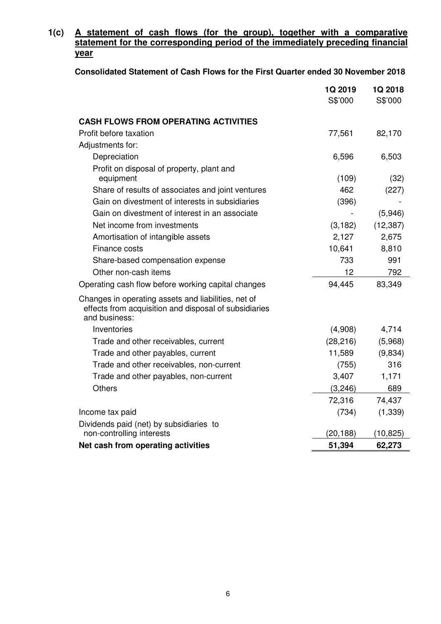## **1(c) A statement of cash flows (for the group), together with a comparative statement for the corresponding period of the immediately preceding financial year**

### **Consolidated Statement of Cash Flows for the First Quarter ended 30 November 2018**

|                                                                                                                               | 1Q 2019<br>S\$'000 | 1Q 2018<br>S\$'000 |
|-------------------------------------------------------------------------------------------------------------------------------|--------------------|--------------------|
|                                                                                                                               |                    |                    |
| <b>CASH FLOWS FROM OPERATING ACTIVITIES</b>                                                                                   |                    |                    |
| Profit before taxation                                                                                                        | 77,561             | 82,170             |
| Adjustments for:                                                                                                              |                    |                    |
| Depreciation                                                                                                                  | 6,596              | 6,503              |
| Profit on disposal of property, plant and<br>equipment                                                                        | (109)              | (32)               |
| Share of results of associates and joint ventures                                                                             | 462                | (227)              |
| Gain on divestment of interests in subsidiaries                                                                               | (396)              |                    |
| Gain on divestment of interest in an associate                                                                                |                    | (5,946)            |
| Net income from investments                                                                                                   | (3, 182)           | (12, 387)          |
| Amortisation of intangible assets                                                                                             | 2,127              | 2,675              |
| Finance costs                                                                                                                 | 10,641             | 8,810              |
| Share-based compensation expense                                                                                              | 733                | 991                |
| Other non-cash items                                                                                                          | 12                 | 792                |
| Operating cash flow before working capital changes                                                                            | 94,445             | 83,349             |
| Changes in operating assets and liabilities, net of<br>effects from acquisition and disposal of subsidiaries<br>and business: |                    |                    |
| Inventories                                                                                                                   | (4,908)            | 4,714              |
| Trade and other receivables, current                                                                                          | (28, 216)          | (5,968)            |
| Trade and other payables, current                                                                                             | 11,589             | (9,834)            |
| Trade and other receivables, non-current                                                                                      | (755)              | 316                |
| Trade and other payables, non-current                                                                                         | 3,407              | 1,171              |
| <b>Others</b>                                                                                                                 | (3, 246)           | 689                |
|                                                                                                                               | 72,316             | 74,437             |
| Income tax paid                                                                                                               | (734)              | (1, 339)           |
| Dividends paid (net) by subsidiaries to                                                                                       |                    |                    |
| non-controlling interests                                                                                                     | (20, 188)          | (10,825)           |
| Net cash from operating activities                                                                                            | 51,394             | 62,273             |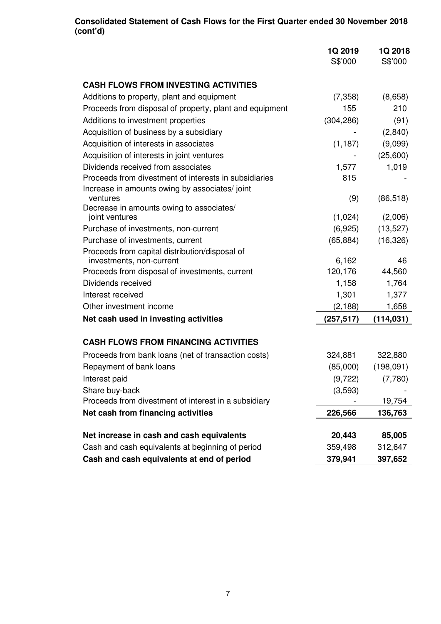### **Consolidated Statement of Cash Flows for the First Quarter ended 30 November 2018 (cont'd)**

|                                                         | 1Q 2019<br>S\$'000 | 1Q 2018<br>S\$'000 |
|---------------------------------------------------------|--------------------|--------------------|
|                                                         |                    |                    |
| <b>CASH FLOWS FROM INVESTING ACTIVITIES</b>             |                    |                    |
| Additions to property, plant and equipment              | (7, 358)           | (8,658)            |
| Proceeds from disposal of property, plant and equipment | 155                | 210                |
| Additions to investment properties                      | (304, 286)         | (91)               |
| Acquisition of business by a subsidiary                 |                    | (2,840)            |
| Acquisition of interests in associates                  | (1, 187)           | (9,099)            |
| Acquisition of interests in joint ventures              |                    | (25,600)           |
| Dividends received from associates                      | 1,577              | 1,019              |
| Proceeds from divestment of interests in subsidiaries   | 815                |                    |
| Increase in amounts owing by associates/joint           |                    |                    |
| ventures<br>Decrease in amounts owing to associates/    | (9)                | (86, 518)          |
| joint ventures                                          | (1,024)            | (2,006)            |
| Purchase of investments, non-current                    | (6,925)            | (13, 527)          |
| Purchase of investments, current                        | (65, 884)          | (16, 326)          |
| Proceeds from capital distribution/disposal of          |                    |                    |
| investments, non-current                                | 6,162              | 46                 |
| Proceeds from disposal of investments, current          | 120,176            | 44,560             |
| Dividends received                                      | 1,158              | 1,764              |
| Interest received                                       | 1,301              | 1,377              |
| Other investment income                                 | (2, 188)           | 1,658              |
| Net cash used in investing activities                   | (257, 517)         | (114, 031)         |
| <b>CASH FLOWS FROM FINANCING ACTIVITIES</b>             |                    |                    |
| Proceeds from bank loans (net of transaction costs)     | 324,881            | 322,880            |
| Repayment of bank loans                                 | (85,000)           | (198,091)          |
| Interest paid                                           | (9, 722)           | (7,780)            |
| Share buy-back                                          | (3,593)            |                    |
| Proceeds from divestment of interest in a subsidiary    |                    | 19,754             |
| Net cash from financing activities                      | 226,566            | 136,763            |
|                                                         |                    |                    |
| Net increase in cash and cash equivalents               | 20,443             | 85,005             |
| Cash and cash equivalents at beginning of period        | 359,498            | 312,647            |
| Cash and cash equivalents at end of period              | 379,941            | 397,652            |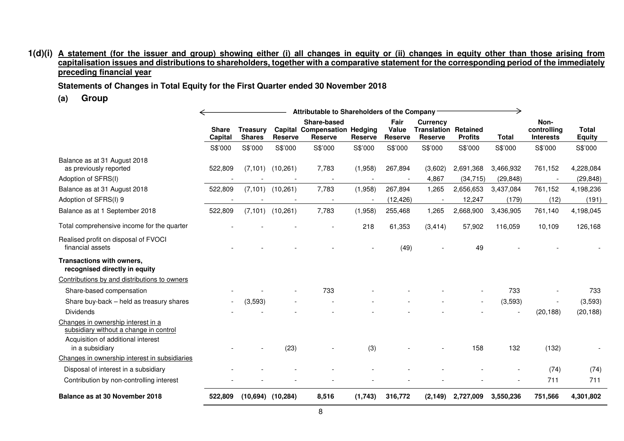#### 1(d)(i) <u>A statement (for the issuer and group) showing either (i) all changes in equity or (ii) changes in equity other than those arising from</u> <u>capitalisation issues and distributions to shareholders, together with a comparative statement for the corresponding period of the immediately</u> **preceding financial year**

**Statements of Changes in Total Equity for the First Quarter ended 30 November 2018**

**(a) Group**

|                                                                              | Attributable to Shareholders of the Company |                 |                      |                                                    |                |                |                                                |                |              |                     |               |
|------------------------------------------------------------------------------|---------------------------------------------|-----------------|----------------------|----------------------------------------------------|----------------|----------------|------------------------------------------------|----------------|--------------|---------------------|---------------|
|                                                                              | <b>Share</b>                                | <b>Treasurv</b> |                      | Share-based<br><b>Capital Compensation Hedging</b> |                | Fair<br>Value  | <b>Currency</b><br><b>Translation Retained</b> |                |              | Non-<br>controlling | <b>Total</b>  |
|                                                                              | Capital                                     | <b>Shares</b>   | <b>Reserve</b>       | <b>Reserve</b>                                     | <b>Reserve</b> | <b>Reserve</b> | <b>Reserve</b>                                 | <b>Profits</b> | <b>Total</b> | <b>Interests</b>    | <b>Equity</b> |
|                                                                              | S\$'000                                     | S\$'000         | S\$'000              | S\$'000                                            | S\$'000        | S\$'000        | S\$'000                                        | S\$'000        | S\$'000      | S\$'000             | S\$'000       |
| Balance as at 31 August 2018<br>as previously reported                       | 522,809                                     |                 | $(7,101)$ $(10,261)$ | 7,783                                              | (1,958)        | 267,894        | (3,602)                                        | 2,691,368      | 3,466,932    | 761,152             | 4,228,084     |
| Adoption of SFRS(I)                                                          |                                             |                 |                      |                                                    |                |                | 4,867                                          | (34, 715)      | (29, 848)    |                     | (29, 848)     |
| Balance as at 31 August 2018                                                 | 522,809                                     | (7, 101)        | (10, 261)            | 7,783                                              | (1,958)        | 267,894        | 1,265                                          | 2,656,653      | 3,437,084    | 761,152             | 4,198,236     |
| Adoption of SFRS(I) 9                                                        |                                             |                 |                      |                                                    |                | (12, 426)      |                                                | 12,247         | (179)        | (12)                | (191)         |
| Balance as at 1 September 2018                                               | 522,809                                     |                 | $(7,101)$ $(10,261)$ | 7,783                                              | (1,958)        | 255,468        | 1,265                                          | 2,668,900      | 3,436,905    | 761,140             | 4,198,045     |
| Total comprehensive income for the quarter                                   |                                             |                 |                      |                                                    | 218            | 61,353         | (3, 414)                                       | 57,902         | 116,059      | 10,109              | 126,168       |
| Realised profit on disposal of FVOCI<br>financial assets                     |                                             |                 |                      |                                                    |                | (49)           |                                                | 49             |              |                     |               |
| Transactions with owners,<br>recognised directly in equity                   |                                             |                 |                      |                                                    |                |                |                                                |                |              |                     |               |
| Contributions by and distributions to owners                                 |                                             |                 |                      |                                                    |                |                |                                                |                |              |                     |               |
| Share-based compensation                                                     |                                             |                 |                      | 733                                                |                |                |                                                |                | 733          |                     | 733           |
| Share buy-back - held as treasury shares                                     |                                             | (3,593)         |                      |                                                    |                |                |                                                |                | (3,593)      |                     | (3,593)       |
| <b>Dividends</b>                                                             |                                             |                 |                      |                                                    |                |                |                                                |                |              | (20, 188)           | (20, 188)     |
| Changes in ownership interest in a<br>subsidiary without a change in control |                                             |                 |                      |                                                    |                |                |                                                |                |              |                     |               |
| Acquisition of additional interest<br>in a subsidiary                        |                                             |                 | (23)                 |                                                    | (3)            |                |                                                | 158            | 132          | (132)               |               |
| Changes in ownership interest in subsidiaries                                |                                             |                 |                      |                                                    |                |                |                                                |                |              |                     |               |
| Disposal of interest in a subsidiary                                         |                                             |                 |                      |                                                    |                |                |                                                |                |              | (74)                | (74)          |
| Contribution by non-controlling interest                                     |                                             |                 |                      |                                                    |                |                |                                                |                |              | 711                 | 711           |
| Balance as at 30 November 2018                                               | 522,809                                     | (10.694)        | (10, 284)            | 8,516                                              | (1,743)        | 316,772        | (2, 149)                                       | 2,727,009      | 3,550,236    | 751,566             | 4,301,802     |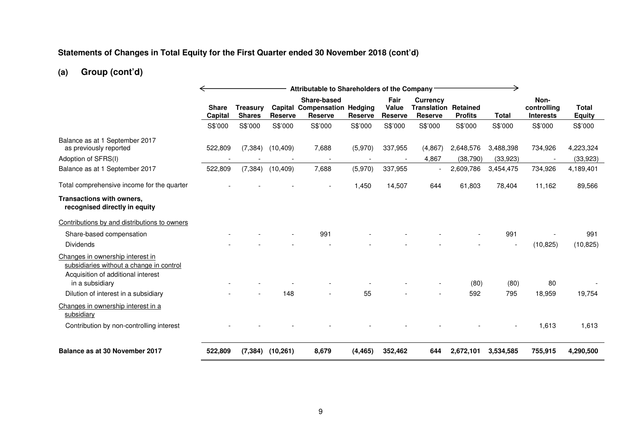#### **Statements of Changes in Total Equity for the First Quarter ended 30 November 2018 (cont'd)**

# **(a) Group (cont'd)**

|                                                                                                                                       | Attributable to Shareholders of the Company |                                  |                |                                                                      |                |                                        |                                                           |                        |                        |                                         |                               |
|---------------------------------------------------------------------------------------------------------------------------------------|---------------------------------------------|----------------------------------|----------------|----------------------------------------------------------------------|----------------|----------------------------------------|-----------------------------------------------------------|------------------------|------------------------|-----------------------------------------|-------------------------------|
|                                                                                                                                       | <b>Share</b><br>Capital                     | <b>Treasury</b><br><b>Shares</b> | <b>Reserve</b> | Share-based<br><b>Capital Compensation Hedging</b><br><b>Reserve</b> | <b>Reserve</b> | Fair<br><b>Value</b><br><b>Reserve</b> | <b>Currency</b><br><b>Translation Retained</b><br>Reserve | <b>Profits</b>         | <b>Total</b>           | Non-<br>controlling<br><b>Interests</b> | <b>Total</b><br><b>Equity</b> |
|                                                                                                                                       | S\$'000                                     | S\$'000                          | S\$'000        | S\$'000                                                              | S\$'000        | S\$'000                                | S\$'000                                                   | S\$'000                | S\$'000                | S\$'000                                 | S\$'000                       |
| Balance as at 1 September 2017<br>as previously reported<br>Adoption of SFRS(I)                                                       | 522,809                                     | (7, 384)                         | (10, 409)      | 7,688                                                                | (5,970)        | 337,955                                | (4,867)<br>4,867                                          | 2,648,576<br>(38, 790) | 3,488,398<br>(33, 923) | 734,926                                 | 4,223,324<br>(33,923)         |
| Balance as at 1 September 2017                                                                                                        | 522,809                                     | (7, 384)                         | (10, 409)      | 7,688                                                                | (5,970)        | 337,955                                |                                                           | 2,609,786              | 3,454,475              | 734,926                                 | 4,189,401                     |
| Total comprehensive income for the quarter                                                                                            |                                             |                                  |                |                                                                      | 1,450          | 14,507                                 | 644                                                       | 61.803                 | 78,404                 | 11,162                                  | 89,566                        |
| Transactions with owners,<br>recognised directly in equity                                                                            |                                             |                                  |                |                                                                      |                |                                        |                                                           |                        |                        |                                         |                               |
| Contributions by and distributions to owners                                                                                          |                                             |                                  |                |                                                                      |                |                                        |                                                           |                        |                        |                                         |                               |
| Share-based compensation                                                                                                              |                                             |                                  |                | 991                                                                  |                |                                        |                                                           |                        | 991                    |                                         | 991                           |
| Dividends                                                                                                                             |                                             |                                  |                |                                                                      |                |                                        |                                                           |                        | $\blacksquare$         | (10, 825)                               | (10, 825)                     |
| Changes in ownership interest in<br>subsidiaries without a change in control<br>Acquisition of additional interest<br>in a subsidiary |                                             |                                  |                |                                                                      |                |                                        |                                                           | (80)                   | (80)                   | 80                                      |                               |
| Dilution of interest in a subsidiary                                                                                                  |                                             |                                  | 148            |                                                                      | 55             |                                        |                                                           | 592                    | 795                    | 18,959                                  | 19,754                        |
| Changes in ownership interest in a<br>subsidiary<br>Contribution by non-controlling interest                                          |                                             |                                  |                |                                                                      |                |                                        |                                                           |                        |                        | 1,613                                   | 1,613                         |
| Balance as at 30 November 2017                                                                                                        | 522,809                                     | (7, 384)                         | (10, 261)      | 8,679                                                                | (4, 465)       | 352,462                                | 644                                                       | 2,672,101              | 3,534,585              | 755,915                                 | 4,290,500                     |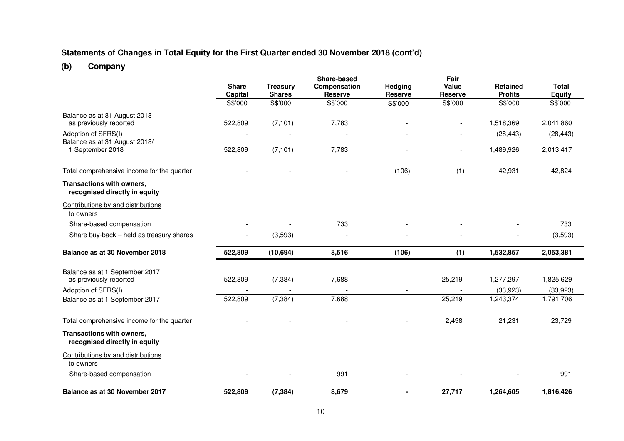#### **Statements of Changes in Total Equity for the First Quarter ended 30 November 2018 (cont'd)**

# **(b) Company**

|                                                            | <b>Share</b><br>Capital<br>S\$'000 | <b>Treasury</b><br><b>Shares</b><br>S\$'000 | Share-based<br>Compensation<br><b>Reserve</b><br>S\$'000 | Hedging<br><b>Reserve</b><br>S\$'000 | Fair<br>Value<br><b>Reserve</b><br>S\$'000 | <b>Retained</b><br><b>Profits</b><br>S\$'000 | <b>Total</b><br><b>Equity</b><br>S\$'000 |
|------------------------------------------------------------|------------------------------------|---------------------------------------------|----------------------------------------------------------|--------------------------------------|--------------------------------------------|----------------------------------------------|------------------------------------------|
| Balance as at 31 August 2018                               |                                    |                                             |                                                          |                                      |                                            |                                              |                                          |
| as previously reported                                     | 522,809                            | (7, 101)                                    | 7,783                                                    |                                      | $\blacksquare$                             | 1,518,369                                    | 2,041,860                                |
| Adoption of SFRS(I)<br>Balance as at 31 August 2018/       |                                    |                                             |                                                          |                                      |                                            | (28, 443)                                    | (28, 443)                                |
| 1 September 2018                                           | 522,809                            | (7, 101)                                    | 7,783                                                    |                                      | $\overline{\phantom{a}}$                   | 1,489,926                                    | 2,013,417                                |
| Total comprehensive income for the quarter                 |                                    |                                             |                                                          | (106)                                | (1)                                        | 42,931                                       | 42,824                                   |
| Transactions with owners,<br>recognised directly in equity |                                    |                                             |                                                          |                                      |                                            |                                              |                                          |
| Contributions by and distributions<br>to owners            |                                    |                                             |                                                          |                                      |                                            |                                              |                                          |
| Share-based compensation                                   |                                    |                                             | 733                                                      |                                      |                                            |                                              | 733                                      |
| Share buy-back - held as treasury shares                   |                                    | (3,593)                                     |                                                          |                                      |                                            |                                              | (3,593)                                  |
| Balance as at 30 November 2018                             | 522,809                            | (10, 694)                                   | 8,516                                                    | (106)                                | (1)                                        | 1,532,857                                    | 2,053,381                                |
| Balance as at 1 September 2017                             |                                    |                                             |                                                          |                                      |                                            |                                              |                                          |
| as previously reported                                     | 522,809                            | (7, 384)                                    | 7,688                                                    |                                      | 25,219                                     | 1,277,297                                    | 1,825,629                                |
| Adoption of SFRS(I)                                        |                                    |                                             |                                                          |                                      |                                            | (33, 923)                                    | (33,923)                                 |
| Balance as at 1 September 2017                             | 522,809                            | (7, 384)                                    | 7,688                                                    | $\overline{a}$                       | 25,219                                     | 1,243,374                                    | 1,791,706                                |
| Total comprehensive income for the quarter                 |                                    |                                             |                                                          |                                      | 2,498                                      | 21,231                                       | 23,729                                   |
| Transactions with owners,<br>recognised directly in equity |                                    |                                             |                                                          |                                      |                                            |                                              |                                          |
| Contributions by and distributions<br>to owners            |                                    |                                             |                                                          |                                      |                                            |                                              |                                          |
| Share-based compensation                                   |                                    |                                             | 991                                                      |                                      |                                            |                                              | 991                                      |
| Balance as at 30 November 2017                             | 522,809                            | (7, 384)                                    | 8,679                                                    | $\blacksquare$                       | 27,717                                     | 1,264,605                                    | 1,816,426                                |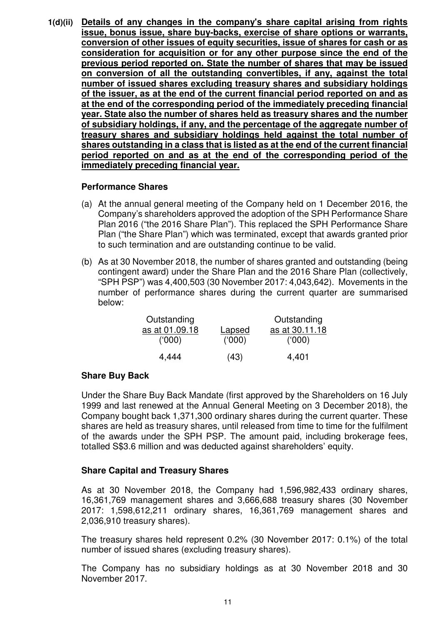**1(d)(ii) Details of any changes in the company's share capital arising from rights issue, bonus issue, share buy-backs, exercise of share options or warrants, conversion of other issues of equity securities, issue of shares for cash or as consideration for acquisition or for any other purpose since the end of the previous period reported on. State the number of shares that may be issued on conversion of all the outstanding convertibles, if any, against the total number of issued shares excluding treasury shares and subsidiary holdings of the issuer, as at the end of the current financial period reported on and as at the end of the corresponding period of the immediately preceding financial year. State also the number of shares held as treasury shares and the number of subsidiary holdings, if any, and the percentage of the aggregate number of treasury shares and subsidiary holdings held against the total number of shares outstanding in a class that is listed as at the end of the current financial period reported on and as at the end of the corresponding period of the immediately preceding financial year.**

### **Performance Shares**

- (a) At the annual general meeting of the Company held on 1 December 2016, the Company's shareholders approved the adoption of the SPH Performance Share Plan 2016 ("the 2016 Share Plan"). This replaced the SPH Performance Share Plan ("the Share Plan") which was terminated, except that awards granted prior to such termination and are outstanding continue to be valid.
- (b) As at 30 November 2018, the number of shares granted and outstanding (being contingent award) under the Share Plan and the 2016 Share Plan (collectively, "SPH PSP") was 4,400,503 (30 November 2017: 4,043,642). Movements in the number of performance shares during the current quarter are summarised below:

| Outstanding    |        | Outstanding    |
|----------------|--------|----------------|
| as at 01.09.18 | Lapsed | as at 30.11.18 |
| (000)          | (000)  | (000)          |
| 4,444          | (43)   | 4,401          |

# **Share Buy Back**

Under the Share Buy Back Mandate (first approved by the Shareholders on 16 July 1999 and last renewed at the Annual General Meeting on 3 December 2018), the Company bought back 1,371,300 ordinary shares during the current quarter. These shares are held as treasury shares, until released from time to time for the fulfilment of the awards under the SPH PSP. The amount paid, including brokerage fees, totalled S\$3.6 million and was deducted against shareholders' equity.

# **Share Capital and Treasury Shares**

As at 30 November 2018, the Company had 1,596,982,433 ordinary shares, 16,361,769 management shares and 3,666,688 treasury shares (30 November 2017: 1,598,612,211 ordinary shares, 16,361,769 management shares and 2,036,910 treasury shares).

The treasury shares held represent 0.2% (30 November 2017: 0.1%) of the total number of issued shares (excluding treasury shares).

The Company has no subsidiary holdings as at 30 November 2018 and 30 November 2017.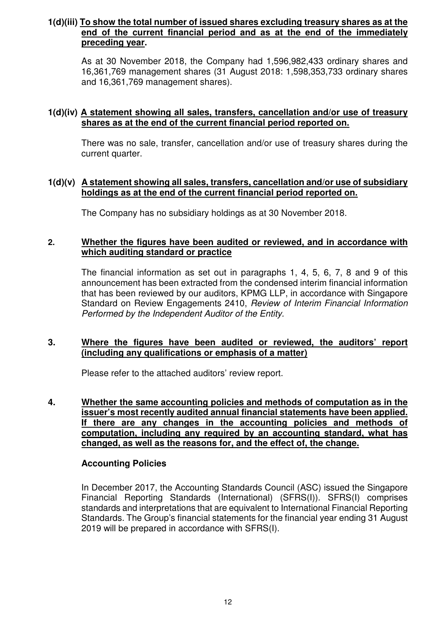## **1(d)(iii) To show the total number of issued shares excluding treasury shares as at the end of the current financial period and as at the end of the immediately preceding year.**

As at 30 November 2018, the Company had 1,596,982,433 ordinary shares and 16,361,769 management shares (31 August 2018: 1,598,353,733 ordinary shares and 16,361,769 management shares).

## **1(d)(iv) A statement showing all sales, transfers, cancellation and/or use of treasury shares as at the end of the current financial period reported on.**

There was no sale, transfer, cancellation and/or use of treasury shares during the current quarter.

### **1(d)(v) A statement showing all sales, transfers, cancellation and/or use of subsidiary holdings as at the end of the current financial period reported on.**

The Company has no subsidiary holdings as at 30 November 2018.

### **2. Whether the figures have been audited or reviewed, and in accordance with which auditing standard or practice**

The financial information as set out in paragraphs 1, 4, 5, 6, 7, 8 and 9 of this announcement has been extracted from the condensed interim financial information that has been reviewed by our auditors, KPMG LLP, in accordance with Singapore Standard on Review Engagements 2410, *Review of Interim Financial Information Performed by the Independent Auditor of the Entity.*

### **3. Where the figures have been audited or reviewed, the auditors' report (including any qualifications or emphasis of a matter)**

Please refer to the attached auditors' review report.

**4. Whether the same accounting policies and methods of computation as in the issuer's most recently audited annual financial statements have been applied. If there are any changes in the accounting policies and methods of computation, including any required by an accounting standard, what has changed, as well as the reasons for, and the effect of, the change.**

# **Accounting Policies**

In December 2017, the Accounting Standards Council (ASC) issued the Singapore Financial Reporting Standards (International) (SFRS(I)). SFRS(I) comprises standards and interpretations that are equivalent to International Financial Reporting Standards. The Group's financial statements for the financial year ending 31 August 2019 will be prepared in accordance with SFRS(I).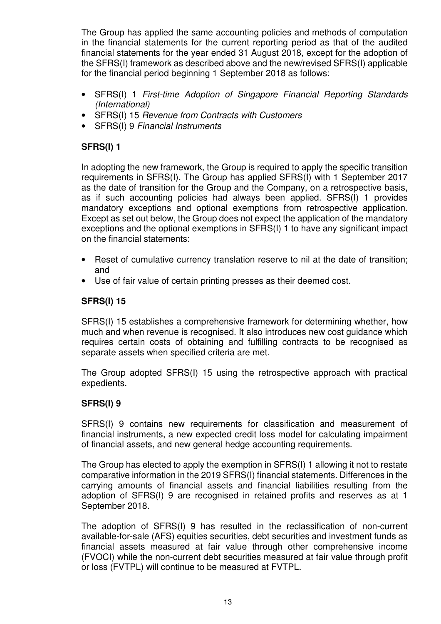The Group has applied the same accounting policies and methods of computation in the financial statements for the current reporting period as that of the audited financial statements for the year ended 31 August 2018, except for the adoption of the SFRS(I) framework as described above and the new/revised SFRS(I) applicable for the financial period beginning 1 September 2018 as follows:

- SFRS(I) 1 *First-time Adoption of Singapore Financial Reporting Standards (International)*
- SFRS(I) 15 *Revenue from Contracts with Customers*
- SFRS(I) 9 *Financial Instruments*

# **SFRS(I) 1**

In adopting the new framework, the Group is required to apply the specific transition requirements in SFRS(I)*.* The Group has applied SFRS(I) with 1 September 2017 as the date of transition for the Group and the Company, on a retrospective basis, as if such accounting policies had always been applied. SFRS(I) 1 provides mandatory exceptions and optional exemptions from retrospective application. Except as set out below, the Group does not expect the application of the mandatory exceptions and the optional exemptions in SFRS(I) 1 to have any significant impact on the financial statements:

- Reset of cumulative currency translation reserve to nil at the date of transition; and
- Use of fair value of certain printing presses as their deemed cost.

# **SFRS(I) 15**

SFRS(I) 15 establishes a comprehensive framework for determining whether, how much and when revenue is recognised. It also introduces new cost guidance which requires certain costs of obtaining and fulfilling contracts to be recognised as separate assets when specified criteria are met.

The Group adopted SFRS(I) 15 using the retrospective approach with practical expedients.

# **SFRS(I) 9**

SFRS(I) 9 contains new requirements for classification and measurement of financial instruments, a new expected credit loss model for calculating impairment of financial assets, and new general hedge accounting requirements.

The Group has elected to apply the exemption in SFRS(I) 1 allowing it not to restate comparative information in the 2019 SFRS(I) financial statements. Differences in the carrying amounts of financial assets and financial liabilities resulting from the adoption of SFRS(I) 9 are recognised in retained profits and reserves as at 1 September 2018.

The adoption of SFRS(I) 9 has resulted in the reclassification of non-current available-for-sale (AFS) equities securities, debt securities and investment funds as financial assets measured at fair value through other comprehensive income (FVOCI) while the non-current debt securities measured at fair value through profit or loss (FVTPL) will continue to be measured at FVTPL.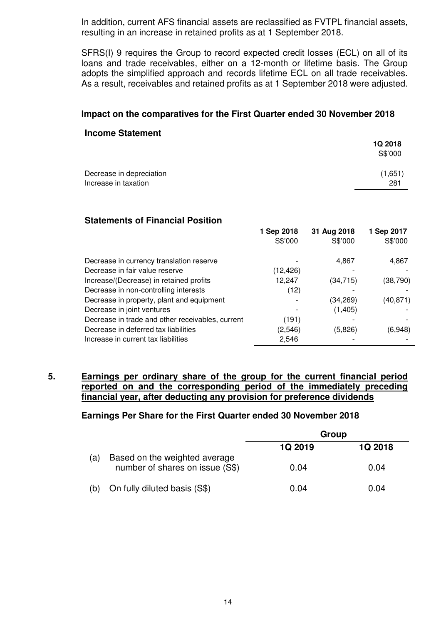In addition, current AFS financial assets are reclassified as FVTPL financial assets, resulting in an increase in retained profits as at 1 September 2018.

SFRS(I) 9 requires the Group to record expected credit losses (ECL) on all of its loans and trade receivables, either on a 12-month or lifetime basis. The Group adopts the simplified approach and records lifetime ECL on all trade receivables. As a result, receivables and retained profits as at 1 September 2018 were adjusted.

### **Impact on the comparatives for the First Quarter ended 30 November 2018**

#### **Income Statement**

| <b>1Q 2018</b> |
|----------------|
| S\$'000        |
| (1,651)        |
| 281            |
|                |

### **Statements of Financial Position**

| 1 Sep 2018 | 31 Aug 2018 | 1 Sep 2017 |
|------------|-------------|------------|
| S\$'000    | S\$'000     | S\$'000    |
|            | 4,867       | 4,867      |
| (12,426)   |             |            |
| 12,247     | (34, 715)   | (38, 790)  |
| (12)       |             |            |
|            | (34, 269)   | (40,871)   |
|            | (1,405)     |            |
| (191)      |             |            |
| (2,546)    | (5,826)     | (6,948)    |
| 2,546      |             |            |
|            |             |            |

### **5. Earnings per ordinary share of the group for the current financial period reported on and the corresponding period of the immediately preceding financial year, after deducting any provision for preference dividends**

#### **Earnings Per Share for the First Quarter ended 30 November 2018**

|     |                                                                  | Group   |                |  |  |
|-----|------------------------------------------------------------------|---------|----------------|--|--|
|     |                                                                  | 1Q 2019 | <b>1Q 2018</b> |  |  |
| (a) | Based on the weighted average<br>number of shares on issue (S\$) | 0.04    | 0.04           |  |  |
| (b) | On fully diluted basis (S\$)                                     | 0.04    | 0.04           |  |  |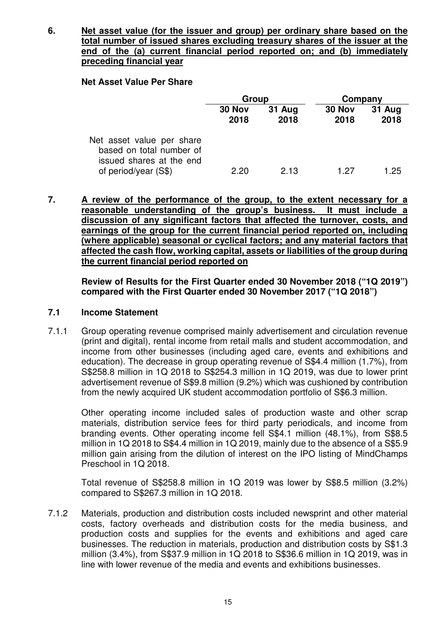**6. Net asset value (for the issuer and group) per ordinary share based on the total number of issued shares excluding treasury shares of the issuer at the end of the (a) current financial period reported on; and (b) immediately preceding financial year**

### **Net Asset Value Per Share**

|                                                                                   | Group          |                | Company        |                       |
|-----------------------------------------------------------------------------------|----------------|----------------|----------------|-----------------------|
|                                                                                   | 30 Nov<br>2018 | 31 Aug<br>2018 | 30 Nov<br>2018 | <b>31 Aug</b><br>2018 |
| Net asset value per share<br>based on total number of<br>issued shares at the end |                |                |                |                       |
| of period/year $(S$)$                                                             | 2.20           | 2.13           | 1 27           | 1.25                  |

**7. A review of the performance of the group, to the extent necessary for a reasonable understanding of the group's business. It must include a discussion of any significant factors that affected the turnover, costs, and earnings of the group for the current financial period reported on, including (where applicable) seasonal or cyclical factors; and any material factors that affected the cash flow, working capital, assets or liabilities of the group during the current financial period reported on**

**Review of Results for the First Quarter ended 30 November 2018 ("1Q 2019") compared with the First Quarter ended 30 November 2017 ("1Q 2018")**

### **7.1 Income Statement**

7.1.1 Group operating revenue comprised mainly advertisement and circulation revenue (print and digital), rental income from retail malls and student accommodation, and income from other businesses (including aged care, events and exhibitions and education). The decrease in group operating revenue of S\$4.4 million (1.7%), from S\$258.8 million in 1Q 2018 to S\$254.3 million in 1Q 2019, was due to lower print advertisement revenue of S\$9.8 million (9.2%) which was cushioned by contribution from the newly acquired UK student accommodation portfolio of S\$6.3 million.

Other operating income included sales of production waste and other scrap materials, distribution service fees for third party periodicals, and income from branding events. Other operating income fell S\$4.1 million (48.1%), from S\$8.5 million in 1Q 2018 to S\$4.4 million in 1Q 2019, mainly due to the absence of a S\$5.9 million gain arising from the dilution of interest on the IPO listing of MindChamps Preschool in 1Q 2018.

Total revenue of S\$258.8 million in 1Q 2019 was lower by S\$8.5 million (3.2%) compared to S\$267.3 million in 1Q 2018.

7.1.2 Materials, production and distribution costs included newsprint and other material costs, factory overheads and distribution costs for the media business, and production costs and supplies for the events and exhibitions and aged care businesses. The reduction in materials, production and distribution costs by S\$1.3 million (3.4%), from S\$37.9 million in 1Q 2018 to S\$36.6 million in 1Q 2019, was in line with lower revenue of the media and events and exhibitions businesses.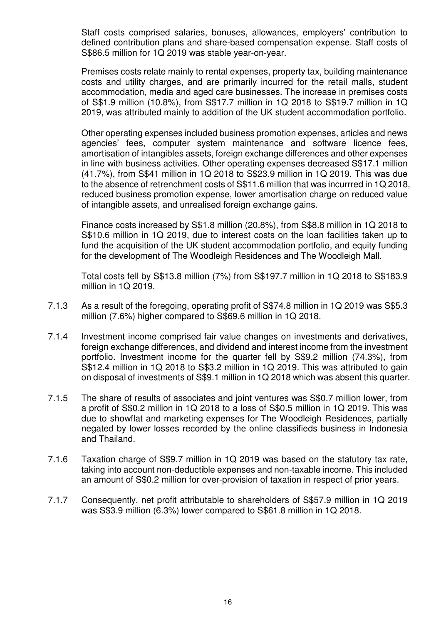Staff costs comprised salaries, bonuses, allowances, employers' contribution to defined contribution plans and share-based compensation expense. Staff costs of S\$86.5 million for 1Q 2019 was stable year-on-year.

Premises costs relate mainly to rental expenses, property tax, building maintenance costs and utility charges, and are primarily incurred for the retail malls, student accommodation, media and aged care businesses. The increase in premises costs of S\$1.9 million (10.8%), from S\$17.7 million in 1Q 2018 to S\$19.7 million in 1Q 2019, was attributed mainly to addition of the UK student accommodation portfolio.

Other operating expenses included business promotion expenses, articles and news agencies' fees, computer system maintenance and software licence fees, amortisation of intangibles assets, foreign exchange differences and other expenses in line with business activities. Other operating expenses decreased S\$17.1 million (41.7%), from S\$41 million in 1Q 2018 to S\$23.9 million in 1Q 2019. This was due to the absence of retrenchment costs of S\$11.6 million that was incurrred in 1Q 2018, reduced business promotion expense, lower amortisation charge on reduced value of intangible assets, and unrealised foreign exchange gains.

Finance costs increased by S\$1.8 million (20.8%), from S\$8.8 million in 1Q 2018 to S\$10.6 million in 1Q 2019, due to interest costs on the loan facilities taken up to fund the acquisition of the UK student accommodation portfolio, and equity funding for the development of The Woodleigh Residences and The Woodleigh Mall.

Total costs fell by S\$13.8 million (7%) from S\$197.7 million in 1Q 2018 to S\$183.9 million in 1Q 2019.

- 7.1.3 As a result of the foregoing, operating profit of S\$74.8 million in 1Q 2019 was S\$5.3 million (7.6%) higher compared to S\$69.6 million in 1Q 2018.
- 7.1.4 Investment income comprised fair value changes on investments and derivatives, foreign exchange differences, and dividend and interest income from the investment portfolio. Investment income for the quarter fell by S\$9.2 million (74.3%), from S\$12.4 million in 1Q 2018 to S\$3.2 million in 1Q 2019. This was attributed to gain on disposal of investments of S\$9.1 million in 1Q 2018 which was absent this quarter.
- 7.1.5 The share of results of associates and joint ventures was S\$0.7 million lower, from a profit of S\$0.2 million in 1Q 2018 to a loss of S\$0.5 million in 1Q 2019. This was due to showflat and marketing expenses for The Woodleigh Residences, partially negated by lower losses recorded by the online classifieds business in Indonesia and Thailand.
- 7.1.6 Taxation charge of S\$9.7 million in 1Q 2019 was based on the statutory tax rate, taking into account non-deductible expenses and non-taxable income. This included an amount of S\$0.2 million for over-provision of taxation in respect of prior years.
- 7.1.7 Consequently, net profit attributable to shareholders of S\$57.9 million in 1Q 2019 was S\$3.9 million (6.3%) lower compared to S\$61.8 million in 1Q 2018.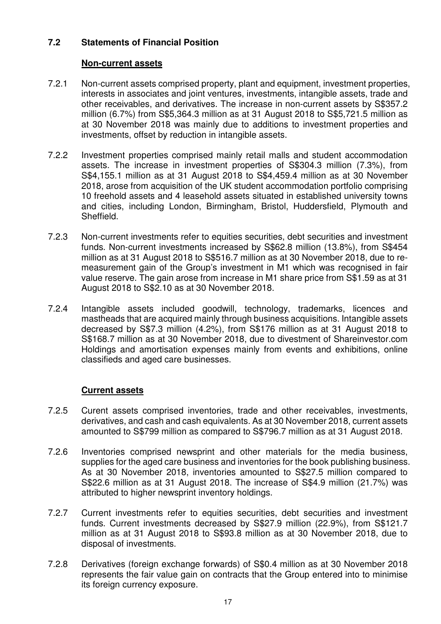## **7.2 Statements of Financial Position**

### **Non-current assets**

- 7.2.1 Non-current assets comprised property, plant and equipment, investment properties, interests in associates and joint ventures, investments, intangible assets, trade and other receivables, and derivatives. The increase in non-current assets by S\$357.2 million (6.7%) from S\$5,364.3 million as at 31 August 2018 to S\$5,721.5 million as at 30 November 2018 was mainly due to additions to investment properties and investments, offset by reduction in intangible assets.
- 7.2.2 Investment properties comprised mainly retail malls and student accommodation assets. The increase in investment properties of S\$304.3 million (7.3%), from S\$4,155.1 million as at 31 August 2018 to S\$4,459.4 million as at 30 November 2018, arose from acquisition of the UK student accommodation portfolio comprising 10 freehold assets and 4 leasehold assets situated in established university towns and cities, including London, Birmingham, Bristol, Huddersfield, Plymouth and Sheffield.
- 7.2.3 Non-current investments refer to equities securities, debt securities and investment funds. Non-current investments increased by S\$62.8 million (13.8%), from S\$454 million as at 31 August 2018 to S\$516.7 million as at 30 November 2018, due to remeasurement gain of the Group's investment in M1 which was recognised in fair value reserve. The gain arose from increase in M1 share price from S\$1.59 as at 31 August 2018 to S\$2.10 as at 30 November 2018.
- 7.2.4 Intangible assets included goodwill, technology, trademarks, licences and mastheads that are acquired mainly through business acquisitions. Intangible assets decreased by S\$7.3 million (4.2%), from S\$176 million as at 31 August 2018 to S\$168.7 million as at 30 November 2018, due to divestment of Shareinvestor.com Holdings and amortisation expenses mainly from events and exhibitions, online classifieds and aged care businesses.

### **Current assets**

- 7.2.5 Curent assets comprised inventories, trade and other receivables, investments, derivatives, and cash and cash equivalents. As at 30 November 2018, current assets amounted to S\$799 million as compared to S\$796.7 million as at 31 August 2018.
- 7.2.6 Inventories comprised newsprint and other materials for the media business, supplies for the aged care business and inventories for the book publishing business. As at 30 November 2018, inventories amounted to S\$27.5 million compared to S\$22.6 million as at 31 August 2018. The increase of S\$4.9 million (21.7%) was attributed to higher newsprint inventory holdings.
- 7.2.7 Current investments refer to equities securities, debt securities and investment funds. Current investments decreased by S\$27.9 million (22.9%), from S\$121.7 million as at 31 August 2018 to S\$93.8 million as at 30 November 2018, due to disposal of investments.
- 7.2.8 Derivatives (foreign exchange forwards) of S\$0.4 million as at 30 November 2018 represents the fair value gain on contracts that the Group entered into to minimise its foreign currency exposure.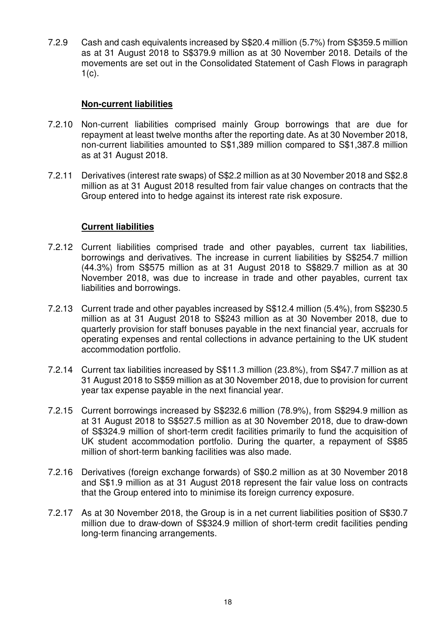7.2.9 Cash and cash equivalents increased by S\$20.4 million (5.7%) from S\$359.5 million as at 31 August 2018 to S\$379.9 million as at 30 November 2018. Details of the movements are set out in the Consolidated Statement of Cash Flows in paragraph  $1(c)$ .

### **Non-current liabilities**

- 7.2.10 Non-current liabilities comprised mainly Group borrowings that are due for repayment at least twelve months after the reporting date. As at 30 November 2018, non-current liabilities amounted to S\$1,389 million compared to S\$1,387.8 million as at 31 August 2018.
- 7.2.11 Derivatives (interest rate swaps) of S\$2.2 million as at 30 November 2018 and S\$2.8 million as at 31 August 2018 resulted from fair value changes on contracts that the Group entered into to hedge against its interest rate risk exposure.

### **Current liabilities**

- 7.2.12 Current liabilities comprised trade and other payables, current tax liabilities, borrowings and derivatives. The increase in current liabilities by S\$254.7 million (44.3%) from S\$575 million as at 31 August 2018 to S\$829.7 million as at 30 November 2018, was due to increase in trade and other payables, current tax liabilities and borrowings.
- 7.2.13 Current trade and other payables increased by S\$12.4 million (5.4%), from S\$230.5 million as at 31 August 2018 to S\$243 million as at 30 November 2018, due to quarterly provision for staff bonuses payable in the next financial year, accruals for operating expenses and rental collections in advance pertaining to the UK student accommodation portfolio.
- 7.2.14 Current tax liabilities increased by S\$11.3 million (23.8%), from S\$47.7 million as at 31 August 2018 to S\$59 million as at 30 November 2018, due to provision for current year tax expense payable in the next financial year.
- 7.2.15 Current borrowings increased by S\$232.6 million (78.9%), from S\$294.9 million as at 31 August 2018 to S\$527.5 million as at 30 November 2018, due to draw-down of S\$324.9 million of short-term credit facilities primarily to fund the acquisition of UK student accommodation portfolio. During the quarter, a repayment of S\$85 million of short-term banking facilities was also made.
- 7.2.16 Derivatives (foreign exchange forwards) of S\$0.2 million as at 30 November 2018 and S\$1.9 million as at 31 August 2018 represent the fair value loss on contracts that the Group entered into to minimise its foreign currency exposure.
- 7.2.17 As at 30 November 2018, the Group is in a net current liabilities position of S\$30.7 million due to draw-down of S\$324.9 million of short-term credit facilities pending long-term financing arrangements.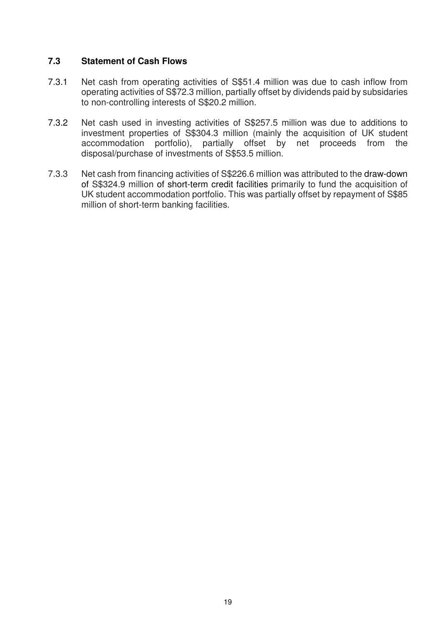## **7.3 Statement of Cash Flows**

- 7.3.1 Net cash from operating activities of S\$51.4 million was due to cash inflow from operating activities of S\$72.3 million, partially offset by dividends paid by subsidaries to non-controlling interests of S\$20.2 million.
- 7.3.2 Net cash used in investing activities of S\$257.5 million was due to additions to investment properties of S\$304.3 million (mainly the acquisition of UK student accommodation portfolio), partially offset by net proceeds from the disposal/purchase of investments of S\$53.5 million.
- 7.3.3 Net cash from financing activities of S\$226.6 million was attributed to the draw-down of S\$324.9 million of short-term credit facilities primarily to fund the acquisition of UK student accommodation portfolio. This was partially offset by repayment of S\$85 million of short-term banking facilities.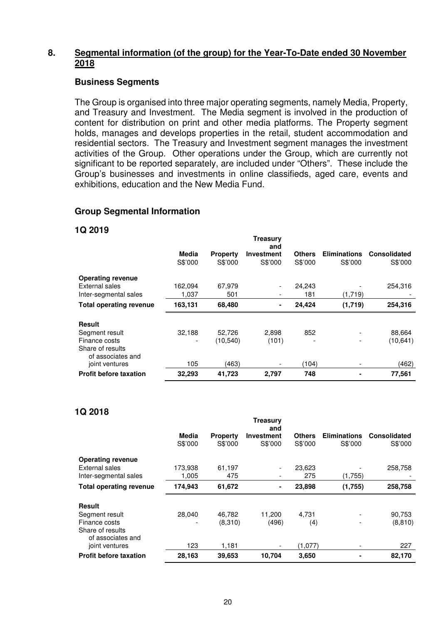### **8. Segmental information (of the group) for the Year-To-Date ended 30 November 2018**

#### **Business Segments**

The Group is organised into three major operating segments, namely Media, Property, and Treasury and Investment. The Media segment is involved in the production of content for distribution on print and other media platforms. The Property segment holds, manages and develops properties in the retail, student accommodation and residential sectors. The Treasury and Investment segment manages the investment activities of the Group. Other operations under the Group, which are currently not significant to be reported separately, are included under "Others". These include the Group's businesses and investments in online classifieds, aged care, events and exhibitions, education and the New Media Fund.

### **Group Segmental Information**

#### **1Q 2019**

|                                       |         |                 | Treasurv<br>and   |               |                     |                     |
|---------------------------------------|---------|-----------------|-------------------|---------------|---------------------|---------------------|
|                                       | Media   | <b>Property</b> | <b>Investment</b> | <b>Others</b> | <b>Eliminations</b> | <b>Consolidated</b> |
|                                       | S\$'000 | S\$'000         | S\$'000           | S\$'000       | S\$'000             | S\$'000             |
| <b>Operating revenue</b>              |         |                 |                   |               |                     |                     |
| External sales                        | 162,094 | 67,979          |                   | 24,243        |                     | 254,316             |
| Inter-segmental sales                 | 1.037   | 501             |                   | 181           | (1,719)             |                     |
| <b>Total operating revenue</b>        | 163,131 | 68,480          | $\blacksquare$    | 24,424        | (1,719)             | 254,316             |
| <b>Result</b>                         |         |                 |                   |               |                     |                     |
| Segment result                        | 32,188  | 52,726          | 2,898             | 852           |                     | 88,664              |
| Finance costs                         | -       | (10, 540)       | (101)             |               | ٠                   | (10, 641)           |
| Share of results<br>of associates and |         |                 |                   |               |                     |                     |
| joint ventures                        | 105     | (463)           |                   | (104)         |                     | (462)               |
| <b>Profit before taxation</b>         | 32,293  | 41,723          | 2,797             | 748           | ۰                   | 77,561              |

### **1Q 2018**

|                                       |         |                 | Treasurv<br>and |               |                          |                     |
|---------------------------------------|---------|-----------------|-----------------|---------------|--------------------------|---------------------|
|                                       | Media   | <b>Property</b> | Investment      | <b>Others</b> | <b>Eliminations</b>      | <b>Consolidated</b> |
|                                       | S\$'000 | S\$'000         | S\$'000         | S\$'000       | S\$'000                  | S\$'000             |
| <b>Operating revenue</b>              |         |                 |                 |               |                          |                     |
| External sales                        | 173,938 | 61,197          |                 | 23,623        |                          | 258,758             |
| Inter-segmental sales                 | 1,005   | 475             |                 | 275           | (1,755)                  |                     |
| <b>Total operating revenue</b>        | 174,943 | 61,672          | ۰               | 23,898        | (1,755)                  | 258,758             |
| <b>Result</b>                         |         |                 |                 |               |                          |                     |
| Segment result                        | 28,040  | 46,782          | 11,200          | 4.731         |                          | 90,753              |
| Finance costs                         |         | (8,310)         | (496)           | (4)           | $\overline{\phantom{a}}$ | (8, 810)            |
| Share of results<br>of associates and |         |                 |                 |               |                          |                     |
| joint ventures                        | 123     | 1,181           |                 | (1,077)       |                          | 227                 |
| <b>Profit before taxation</b>         | 28,163  | 39,653          | 10.704          | 3,650         |                          | 82,170              |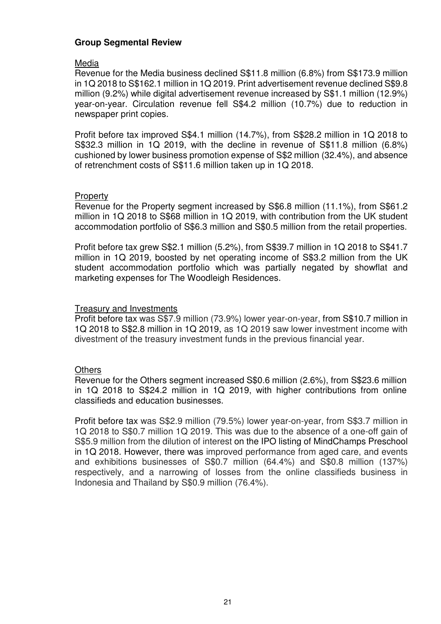### **Group Segmental Review**

### Media

Revenue for the Media business declined S\$11.8 million (6.8%) from S\$173.9 million in 1Q 2018 to S\$162.1 million in 1Q 2019. Print advertisement revenue declined S\$9.8 million (9.2%) while digital advertisement revenue increased by S\$1.1 million (12.9%) year-on-year. Circulation revenue fell S\$4.2 million (10.7%) due to reduction in newspaper print copies.

Profit before tax improved S\$4.1 million (14.7%), from S\$28.2 million in 1Q 2018 to S\$32.3 million in 1Q 2019, with the decline in revenue of S\$11.8 million (6.8%) cushioned by lower business promotion expense of S\$2 million (32.4%), and absence of retrenchment costs of S\$11.6 million taken up in 1Q 2018.

### **Property**

Revenue for the Property segment increased by S\$6.8 million (11.1%), from S\$61.2 million in 1Q 2018 to S\$68 million in 1Q 2019, with contribution from the UK student accommodation portfolio of S\$6.3 million and S\$0.5 million from the retail properties.

Profit before tax grew S\$2.1 million (5.2%), from S\$39.7 million in 1Q 2018 to S\$41.7 million in 1Q 2019, boosted by net operating income of S\$3.2 million from the UK student accommodation portfolio which was partially negated by showflat and marketing expenses for The Woodleigh Residences.

## Treasury and Investments

Profit before tax was S\$7.9 million (73.9%) lower year-on-year, from S\$10.7 million in 1Q 2018 to S\$2.8 million in 1Q 2019, as 1Q 2019 saw lower investment income with divestment of the treasury investment funds in the previous financial year.

### **Others**

Revenue for the Others segment increased S\$0.6 million (2.6%), from S\$23.6 million in 1Q 2018 to S\$24.2 million in 1Q 2019, with higher contributions from online classifieds and education businesses.

Profit before tax was S\$2.9 million (79.5%) lower year-on-year, from S\$3.7 million in 1Q 2018 to S\$0.7 million 1Q 2019. This was due to the absence of a one-off gain of S\$5.9 million from the dilution of interest on the IPO listing of MindChamps Preschool in 1Q 2018. However, there was improved performance from aged care, and events and exhibitions businesses of S\$0.7 million (64.4%) and S\$0.8 million (137%) respectively, and a narrowing of losses from the online classifieds business in Indonesia and Thailand by S\$0.9 million (76.4%).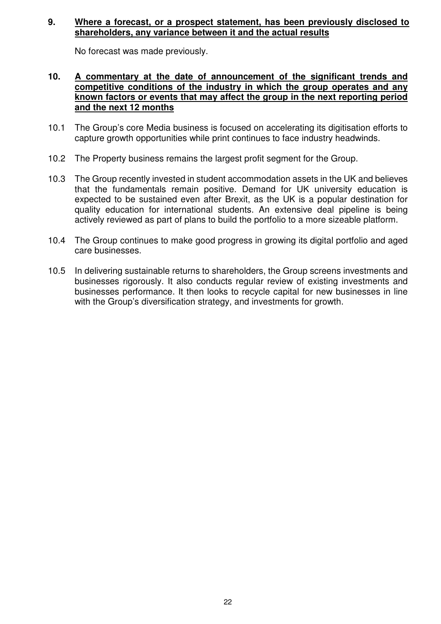### **9. Where a forecast, or a prospect statement, has been previously disclosed to shareholders, any variance between it and the actual results**

No forecast was made previously.

### **10. A commentary at the date of announcement of the significant trends and competitive conditions of the industry in which the group operates and any known factors or events that may affect the group in the next reporting period and the next 12 months**

- 10.1 The Group's core Media business is focused on accelerating its digitisation efforts to capture growth opportunities while print continues to face industry headwinds.
- 10.2 The Property business remains the largest profit segment for the Group.
- 10.3 The Group recently invested in student accommodation assets in the UK and believes that the fundamentals remain positive. Demand for UK university education is expected to be sustained even after Brexit, as the UK is a popular destination for quality education for international students. An extensive deal pipeline is being actively reviewed as part of plans to build the portfolio to a more sizeable platform.
- 10.4 The Group continues to make good progress in growing its digital portfolio and aged care businesses.
- 10.5 In delivering sustainable returns to shareholders, the Group screens investments and businesses rigorously. It also conducts regular review of existing investments and businesses performance. It then looks to recycle capital for new businesses in line with the Group's diversification strategy, and investments for growth.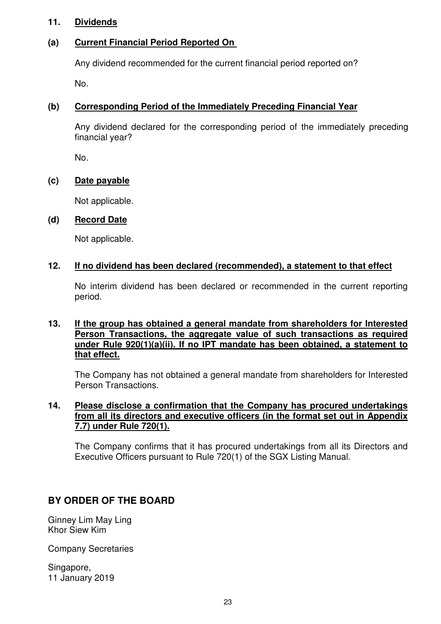## **11. Dividends**

# **(a) Current Financial Period Reported On**

Any dividend recommended for the current financial period reported on?

No.

# **(b) Corresponding Period of the Immediately Preceding Financial Year**

Any dividend declared for the corresponding period of the immediately preceding financial year?

No.

# **(c) Date payable**

Not applicable.

### **(d) Record Date**

Not applicable.

### **12. If no dividend has been declared (recommended), a statement to that effect**

No interim dividend has been declared or recommended in the current reporting period.

### **13. If the group has obtained a general mandate from shareholders for Interested Person Transactions, the aggregate value of such transactions as required under Rule 920(1)(a)(ii). If no IPT mandate has been obtained, a statement to that effect.**

The Company has not obtained a general mandate from shareholders for Interested Person Transactions.

### **14. Please disclose a confirmation that the Company has procured undertakings from all its directors and executive officers (in the format set out in Appendix 7.7) under Rule 720(1).**

The Company confirms that it has procured undertakings from all its Directors and Executive Officers pursuant to Rule 720(1) of the SGX Listing Manual.

# **BY ORDER OF THE BOARD**

Ginney Lim May Ling Khor Siew Kim

Company Secretaries

Singapore, 11 January 2019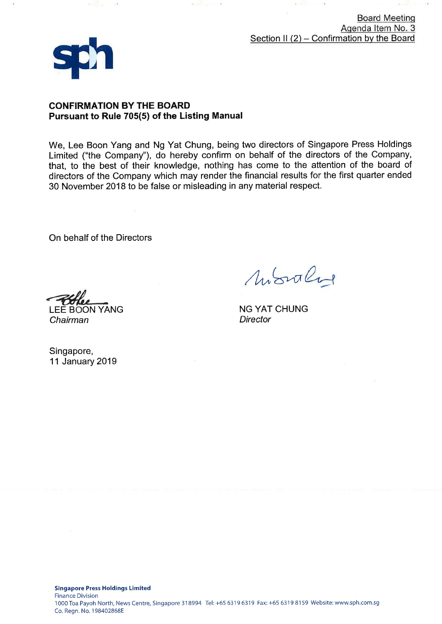**Board Meeting** Agenda Item No. 3 Section II  $(2)$  – Confirmation by the Board



 $2 - 32 - 12$ 

### **CONFIRMATION BY THE BOARD** Pursuant to Rule 705(5) of the Listing Manual

We, Lee Boon Yang and Ng Yat Chung, being two directors of Singapore Press Holdings Limited ("the Company"), do hereby confirm on behalf of the directors of the Company, that, to the best of their knowledge, nothing has come to the attention of the board of directors of the Company which may render the financial results for the first quarter ended 30 November 2018 to be false or misleading in any material respect.

On behalf of the Directors

Monter

**NG YAT CHUNG Director** 

**LEE BOON YANG** Chairman

Singapore, 11 January 2019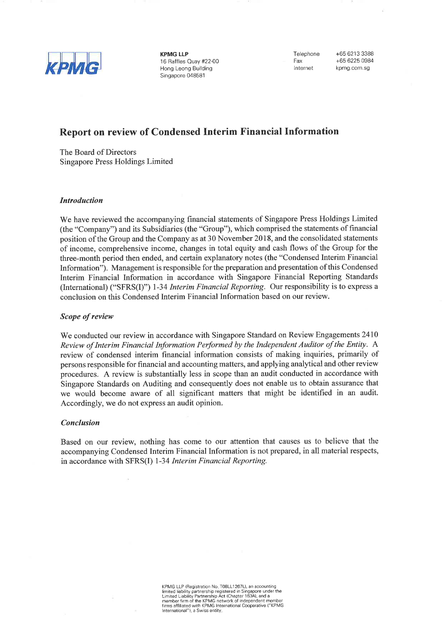

**KPMG LLP** 16 Raffles Quay #22-00 Hong Leong Building Singapore 048581

Telephone Fax Internet

+65 6213 3388 +65 6225 0984 kpmg.com.sg

# **Report on review of Condensed Interim Financial Information**

The Board of Directors Singapore Press Holdings Limited

#### **Introduction**

We have reviewed the accompanying financial statements of Singapore Press Holdings Limited (the "Company") and its Subsidiaries (the "Group"), which comprised the statements of financial position of the Group and the Company as at 30 November 2018, and the consolidated statements of income, comprehensive income, changes in total equity and cash flows of the Group for the three-month period then ended, and certain explanatory notes (the "Condensed Interim Financial Information"). Management is responsible for the preparation and presentation of this Condensed Interim Financial Information in accordance with Singapore Financial Reporting Standards (International) ("SFRS(I)") 1-34 Interim Financial Reporting. Our responsibility is to express a conclusion on this Condensed Interim Financial Information based on our review.

#### Scope of review

We conducted our review in accordance with Singapore Standard on Review Engagements 2410 Review of Interim Financial Information Performed by the Independent Auditor of the Entity. A review of condensed interim financial information consists of making inquiries, primarily of persons responsible for financial and accounting matters, and applying analytical and other review procedures. A review is substantially less in scope than an audit conducted in accordance with Singapore Standards on Auditing and consequently does not enable us to obtain assurance that we would become aware of all significant matters that might be identified in an audit. Accordingly, we do not express an audit opinion.

#### **Conclusion**

Based on our review, nothing has come to our attention that causes us to believe that the accompanying Condensed Interim Financial Information is not prepared, in all material respects, in accordance with SFRS(I) 1-34 Interim Financial Reporting.

> KPMG LLP (Registration No. T08LL1267L), an accounting<br>limited liability partnership registered in Singapore under the<br>Limited Liability Partnership Act (Chapter 163A), and a<br>member firm of the KPMG network of independent m International"), a Swiss entity